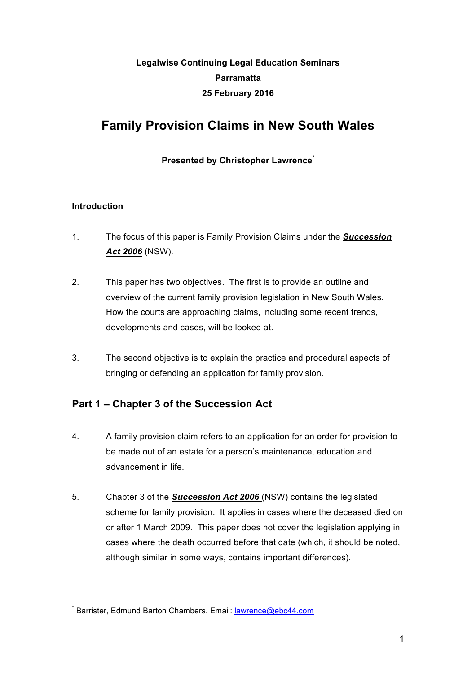# **Legalwise Continuing Legal Education Seminars Parramatta 25 February 2016**

# **Family Provision Claims in New South Wales**

## **Presented by Christopher Lawrence\***

## **Introduction**

- 1. The focus of this paper is Family Provision Claims under the *Succession Act 2006* (NSW).
- 2. This paper has two objectives. The first is to provide an outline and overview of the current family provision legislation in New South Wales. How the courts are approaching claims, including some recent trends, developments and cases, will be looked at.
- 3. The second objective is to explain the practice and procedural aspects of bringing or defending an application for family provision.

# **Part 1 – Chapter 3 of the Succession Act**

- 4. A family provision claim refers to an application for an order for provision to be made out of an estate for a person's maintenance, education and advancement in life.
- 5. Chapter 3 of the *Succession Act 2006* (NSW) contains the legislated scheme for family provision. It applies in cases where the deceased died on or after 1 March 2009. This paper does not cover the legislation applying in cases where the death occurred before that date (which, it should be noted, although similar in some ways, contains important differences).

\* Barrister, Edmund Barton Chambers. Email: lawrence@ebc44.com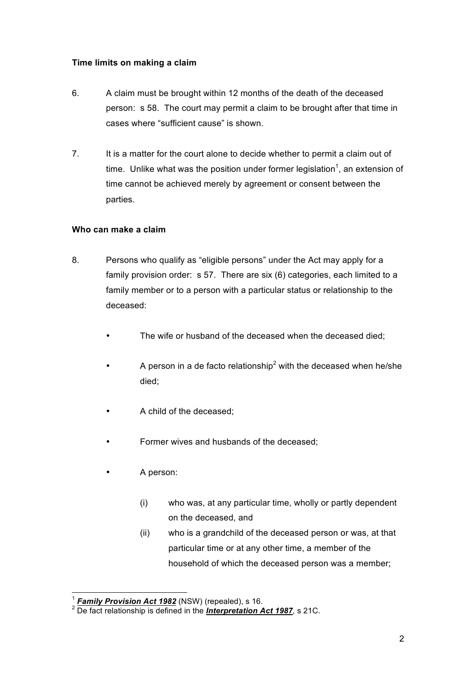## **Time limits on making a claim**

- 6. A claim must be brought within 12 months of the death of the deceased person: s 58. The court may permit a claim to be brought after that time in cases where "sufficient cause" is shown.
- 7. It is a matter for the court alone to decide whether to permit a claim out of time. Unlike what was the position under former legislation<sup>1</sup>, an extension of time cannot be achieved merely by agreement or consent between the parties.

## **Who can make a claim**

- 8. Persons who qualify as "eligible persons" under the Act may apply for a family provision order: s 57. There are six (6) categories, each limited to a family member or to a person with a particular status or relationship to the deceased:
	- The wife or husband of the deceased when the deceased died:
	- A person in a de facto relationship<sup>2</sup> with the deceased when he/she died;
	- A child of the deceased;
	- Former wives and husbands of the deceased;
	- A person:
		- (i) who was, at any particular time, wholly or partly dependent on the deceased, and
		- (ii) who is a grandchild of the deceased person or was, at that particular time or at any other time, a member of the household of which the deceased person was a member;

<sup>&</sup>lt;sup>1</sup> *Family Provision Act 1982* (NSW) (repealed), s 16.<br><sup>2</sup> De fact relationship is defined in the *Interpretation Act 1987*, s 21C.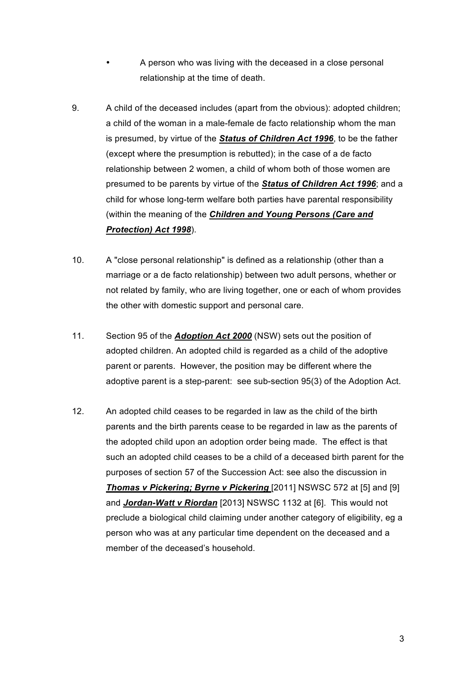- A person who was living with the deceased in a close personal relationship at the time of death.
- 9. A child of the deceased includes (apart from the obvious): adopted children; a child of the woman in a male-female de facto relationship whom the man is presumed, by virtue of the *Status of Children Act 1996*, to be the father (except where the presumption is rebutted); in the case of a de facto relationship between 2 women, a child of whom both of those women are presumed to be parents by virtue of the *Status of Children Act 1996*; and a child for whose long-term welfare both parties have parental responsibility (within the meaning of the *Children and Young Persons (Care and Protection) Act 1998*).
- 10. A "close personal relationship" is defined as a relationship (other than a marriage or a de facto relationship) between two adult persons, whether or not related by family, who are living together, one or each of whom provides the other with domestic support and personal care.
- 11. Section 95 of the *Adoption Act 2000* (NSW) sets out the position of adopted children. An adopted child is regarded as a child of the adoptive parent or parents. However, the position may be different where the adoptive parent is a step-parent: see sub-section 95(3) of the Adoption Act.
- 12. An adopted child ceases to be regarded in law as the child of the birth parents and the birth parents cease to be regarded in law as the parents of the adopted child upon an adoption order being made. The effect is that such an adopted child ceases to be a child of a deceased birth parent for the purposes of section 57 of the Succession Act: see also the discussion in *Thomas v Pickering; Byrne v Pickering* [2011] NSWSC 572 at [5] and [9] and *Jordan-Watt v Riordan* [2013] NSWSC 1132 at [6]. This would not preclude a biological child claiming under another category of eligibility, eg a person who was at any particular time dependent on the deceased and a member of the deceased's household.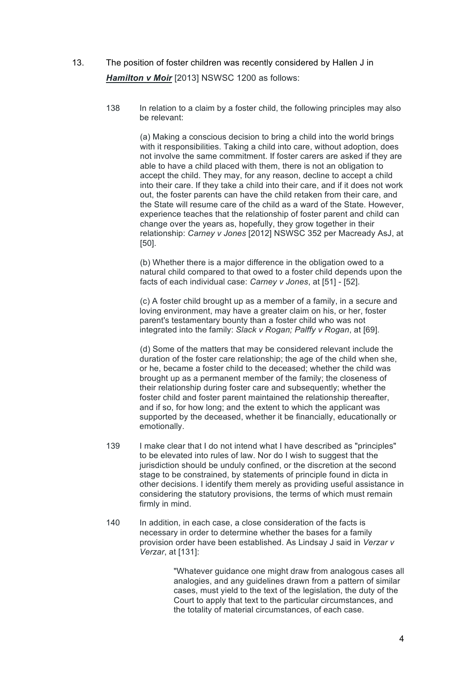- 13. The position of foster children was recently considered by Hallen J in *Hamilton v Moir* [2013] NSWSC 1200 as follows:
	- 138 In relation to a claim by a foster child, the following principles may also be relevant:

(a) Making a conscious decision to bring a child into the world brings with it responsibilities. Taking a child into care, without adoption, does not involve the same commitment. If foster carers are asked if they are able to have a child placed with them, there is not an obligation to accept the child. They may, for any reason, decline to accept a child into their care. If they take a child into their care, and if it does not work out, the foster parents can have the child retaken from their care, and the State will resume care of the child as a ward of the State. However, experience teaches that the relationship of foster parent and child can change over the years as, hopefully, they grow together in their relationship: *Carney v Jones* [2012] NSWSC 352 per Macready AsJ, at [50].

(b) Whether there is a major difference in the obligation owed to a natural child compared to that owed to a foster child depends upon the facts of each individual case: *Carney v Jones*, at [51] - [52].

(c) A foster child brought up as a member of a family, in a secure and loving environment, may have a greater claim on his, or her, foster parent's testamentary bounty than a foster child who was not integrated into the family: *Slack v Rogan; Palffy v Rogan*, at [69].

(d) Some of the matters that may be considered relevant include the duration of the foster care relationship; the age of the child when she, or he, became a foster child to the deceased; whether the child was brought up as a permanent member of the family; the closeness of their relationship during foster care and subsequently; whether the foster child and foster parent maintained the relationship thereafter, and if so, for how long; and the extent to which the applicant was supported by the deceased, whether it be financially, educationally or emotionally.

- 139 I make clear that I do not intend what I have described as "principles" to be elevated into rules of law. Nor do I wish to suggest that the jurisdiction should be unduly confined, or the discretion at the second stage to be constrained, by statements of principle found in dicta in other decisions. I identify them merely as providing useful assistance in considering the statutory provisions, the terms of which must remain firmly in mind.
- 140 In addition, in each case, a close consideration of the facts is necessary in order to determine whether the bases for a family provision order have been established. As Lindsay J said in *Verzar v Verzar*, at [131]:

"Whatever guidance one might draw from analogous cases all analogies, and any guidelines drawn from a pattern of similar cases, must yield to the text of the legislation, the duty of the Court to apply that text to the particular circumstances, and the totality of material circumstances, of each case.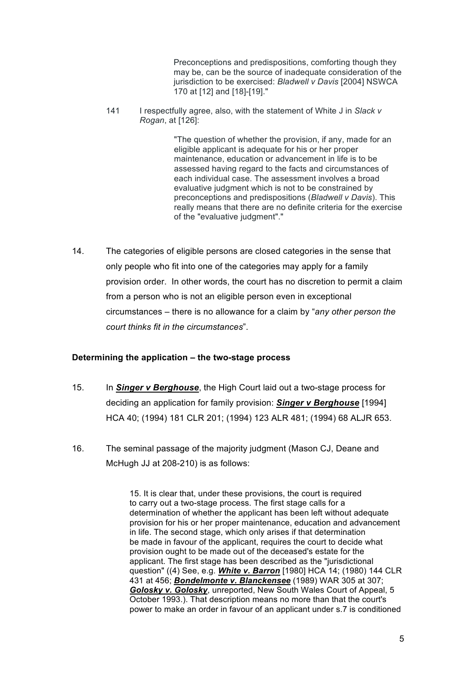Preconceptions and predispositions, comforting though they may be, can be the source of inadequate consideration of the jurisdiction to be exercised: *Bladwell v Davis* [2004] NSWCA 170 at [12] and [18]-[19]."

141 I respectfully agree, also, with the statement of White J in *Slack v Rogan*, at [126]:

> "The question of whether the provision, if any, made for an eligible applicant is adequate for his or her proper maintenance, education or advancement in life is to be assessed having regard to the facts and circumstances of each individual case. The assessment involves a broad evaluative judgment which is not to be constrained by preconceptions and predispositions (*Bladwell v Davis*). This really means that there are no definite criteria for the exercise of the "evaluative judgment"."

14. The categories of eligible persons are closed categories in the sense that only people who fit into one of the categories may apply for a family provision order. In other words, the court has no discretion to permit a claim from a person who is not an eligible person even in exceptional circumstances – there is no allowance for a claim by "*any other person the court thinks fit in the circumstances*".

#### **Determining the application – the two-stage process**

- 15. In *Singer v Berghouse*, the High Court laid out a two-stage process for deciding an application for family provision: *Singer v Berghouse* [1994] HCA 40; (1994) 181 CLR 201; (1994) 123 ALR 481; (1994) 68 ALJR 653.
- 16. The seminal passage of the majority judgment (Mason CJ, Deane and McHugh JJ at 208-210) is as follows:

15. It is clear that, under these provisions, the court is required to carry out a two-stage process. The first stage calls for a determination of whether the applicant has been left without adequate provision for his or her proper maintenance, education and advancement in life. The second stage, which only arises if that determination be made in favour of the applicant, requires the court to decide what provision ought to be made out of the deceased's estate for the applicant. The first stage has been described as the "jurisdictional question" ((4) See, e.g. *White v. Barron* [1980] HCA 14; (1980) 144 CLR 431 at 456; *Bondelmonte v. Blanckensee* (1989) WAR 305 at 307; *Golosky v. Golosky*, unreported, New South Wales Court of Appeal, 5 October 1993.). That description means no more than that the court's power to make an order in favour of an applicant under s.7 is conditioned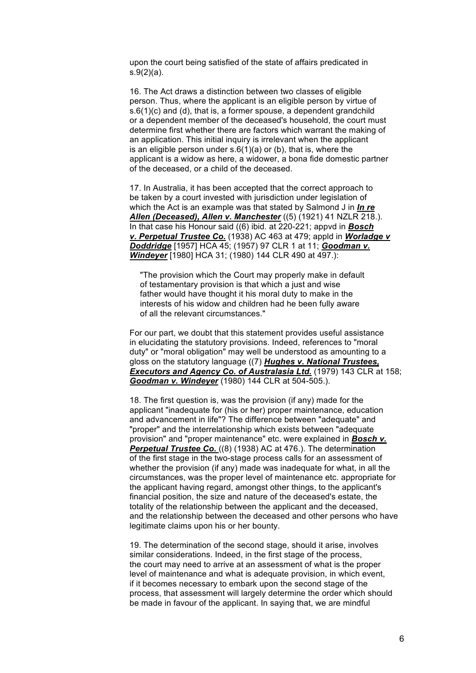upon the court being satisfied of the state of affairs predicated in s.9(2)(a).

16. The Act draws a distinction between two classes of eligible person. Thus, where the applicant is an eligible person by virtue of s.6(1)(c) and (d), that is, a former spouse, a dependent grandchild or a dependent member of the deceased's household, the court must determine first whether there are factors which warrant the making of an application. This initial inquiry is irrelevant when the applicant is an eligible person under  $s.6(1)(a)$  or (b), that is, where the applicant is a widow as here, a widower, a bona fide domestic partner of the deceased, or a child of the deceased.

17. In Australia, it has been accepted that the correct approach to be taken by a court invested with jurisdiction under legislation of which the Act is an example was that stated by Salmond J in *In re Allen (Deceased), Allen v. Manchester* ((5) (1921) 41 NZLR 218.). In that case his Honour said ((6) ibid. at 220-221; appvd in *Bosch v. Perpetual Trustee Co.* (1938) AC 463 at 479; appld in *Worladge v Doddridge* [1957] HCA 45; (1957) 97 CLR 1 at 11; *Goodman v. Windeyer* [1980] HCA 31; (1980) 144 CLR 490 at 497.):

"The provision which the Court may properly make in default of testamentary provision is that which a just and wise father would have thought it his moral duty to make in the interests of his widow and children had he been fully aware of all the relevant circumstances."

For our part, we doubt that this statement provides useful assistance in elucidating the statutory provisions. Indeed, references to "moral duty" or "moral obligation" may well be understood as amounting to a gloss on the statutory language ((7) *Hughes v. National Trustees, Executors and Agency Co. of Australasia Ltd.* (1979) 143 CLR at 158; *Goodman v. Windeyer* (1980) 144 CLR at 504-505.).

18. The first question is, was the provision (if any) made for the applicant "inadequate for (his or her) proper maintenance, education and advancement in life"? The difference between "adequate" and "proper" and the interrelationship which exists between "adequate provision" and "proper maintenance" etc. were explained in *Bosch v.* **Perpetual Trustee Co.** ((8) (1938) AC at 476.). The determination of the first stage in the two-stage process calls for an assessment of whether the provision (if any) made was inadequate for what, in all the circumstances, was the proper level of maintenance etc. appropriate for the applicant having regard, amongst other things, to the applicant's financial position, the size and nature of the deceased's estate, the totality of the relationship between the applicant and the deceased, and the relationship between the deceased and other persons who have legitimate claims upon his or her bounty.

19. The determination of the second stage, should it arise, involves similar considerations. Indeed, in the first stage of the process, the court may need to arrive at an assessment of what is the proper level of maintenance and what is adequate provision, in which event, if it becomes necessary to embark upon the second stage of the process, that assessment will largely determine the order which should be made in favour of the applicant. In saying that, we are mindful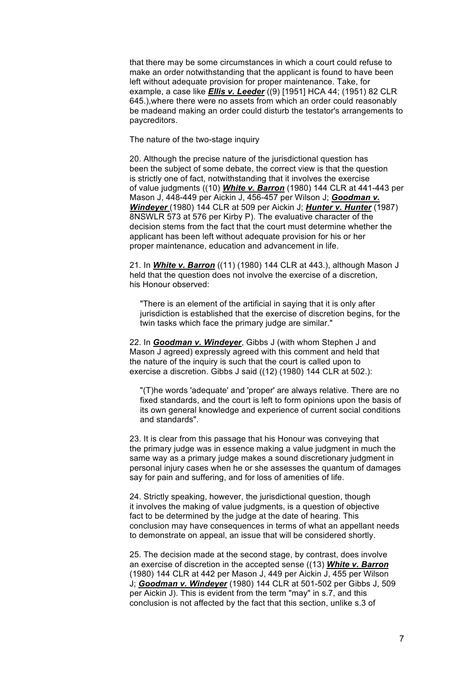that there may be some circumstances in which a court could refuse to make an order notwithstanding that the applicant is found to have been left without adequate provision for proper maintenance. Take, for example, a case like *Ellis v. Leeder* ((9) [1951] HCA 44; (1951) 82 CLR 645.),where there were no assets from which an order could reasonably be madeand making an order could disturb the testator's arrangements to paycreditors.

The nature of the two-stage inquiry

20. Although the precise nature of the jurisdictional question has been the subject of some debate, the correct view is that the question is strictly one of fact, notwithstanding that it involves the exercise of value judgments ((10) *White v. Barron* (1980) 144 CLR at 441-443 per Mason J, 448-449 per Aickin J, 456-457 per Wilson J; *Goodman v. Windeyer* (1980) 144 CLR at 509 per Aickin J; *Hunter v. Hunter* (1987) 8NSWLR 573 at 576 per Kirby P). The evaluative character of the decision stems from the fact that the court must determine whether the applicant has been left without adequate provision for his or her proper maintenance, education and advancement in life.

21. In *White v. Barron* ((11) (1980) 144 CLR at 443.), although Mason J held that the question does not involve the exercise of a discretion, his Honour observed:

"There is an element of the artificial in saying that it is only after jurisdiction is established that the exercise of discretion begins, for the twin tasks which face the primary judge are similar."

22. In *Goodman v. Windeyer*, Gibbs J (with whom Stephen J and Mason J agreed) expressly agreed with this comment and held that the nature of the inquiry is such that the court is called upon to exercise a discretion. Gibbs J said ((12) (1980) 144 CLR at 502.):

"(T)he words 'adequate' and 'proper' are always relative. There are no fixed standards, and the court is left to form opinions upon the basis of its own general knowledge and experience of current social conditions and standards".

23. It is clear from this passage that his Honour was conveying that the primary judge was in essence making a value judgment in much the same way as a primary judge makes a sound discretionary judgment in personal injury cases when he or she assesses the quantum of damages say for pain and suffering, and for loss of amenities of life.

24. Strictly speaking, however, the jurisdictional question, though it involves the making of value judgments, is a question of objective fact to be determined by the judge at the date of hearing. This conclusion may have consequences in terms of what an appellant needs to demonstrate on appeal, an issue that will be considered shortly.

25. The decision made at the second stage, by contrast, does involve an exercise of discretion in the accepted sense ((13) *White v. Barron* (1980) 144 CLR at 442 per Mason J, 449 per Aickin J, 455 per Wilson J; *Goodman v. Windeyer* (1980) 144 CLR at 501-502 per Gibbs J, 509 per Aickin J). This is evident from the term "may" in s.7, and this conclusion is not affected by the fact that this section, unlike s.3 of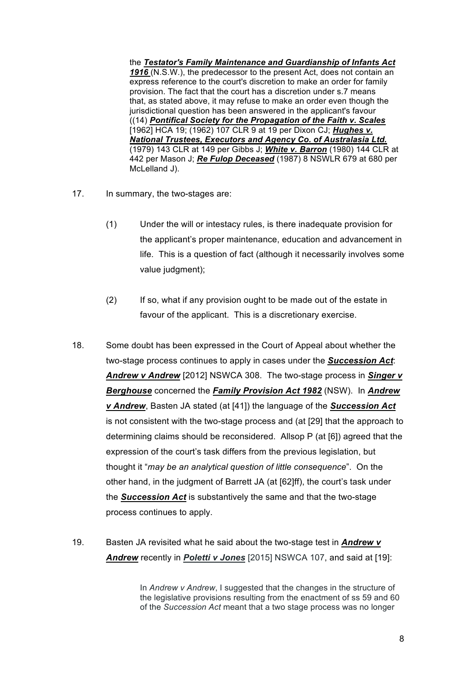the *Testator's Family Maintenance and Guardianship of Infants Act 1916* (N.S.W.), the predecessor to the present Act, does not contain an express reference to the court's discretion to make an order for family provision. The fact that the court has a discretion under s.7 means that, as stated above, it may refuse to make an order even though the jurisdictional question has been answered in the applicant's favour ((14) *Pontifical Society for the Propagation of the Faith v. Scales* [1962] HCA 19; (1962) 107 CLR 9 at 19 per Dixon CJ; *Hughes v. National Trustees, Executors and Agency Co. of Australasia Ltd.* (1979) 143 CLR at 149 per Gibbs J; *White v. Barron* (1980) 144 CLR at 442 per Mason J; *Re Fulop Deceased* (1987) 8 NSWLR 679 at 680 per McLelland J).

- 17. In summary, the two-stages are:
	- (1) Under the will or intestacy rules, is there inadequate provision for the applicant's proper maintenance, education and advancement in life. This is a question of fact (although it necessarily involves some value judgment);
	- (2) If so, what if any provision ought to be made out of the estate in favour of the applicant. This is a discretionary exercise.
- 18. Some doubt has been expressed in the Court of Appeal about whether the two-stage process continues to apply in cases under the *Succession Act*: *Andrew v Andrew* [2012] NSWCA 308. The two-stage process in *Singer v Berghouse* concerned the *Family Provision Act 1982* (NSW). In *Andrew v Andrew*, Basten JA stated (at [41]) the language of the *Succession Act* is not consistent with the two-stage process and (at [29] that the approach to determining claims should be reconsidered. Allsop P (at [6]) agreed that the expression of the court's task differs from the previous legislation, but thought it "*may be an analytical question of little consequence*". On the other hand, in the judgment of Barrett JA (at [62]ff), the court's task under the *Succession Act* is substantively the same and that the two-stage process continues to apply.
- 19. Basten JA revisited what he said about the two-stage test in *Andrew v Andrew* recently in *Poletti v Jones* [2015] NSWCA 107, and said at [19]:

In *Andrew v Andrew*, I suggested that the changes in the structure of the legislative provisions resulting from the enactment of ss 59 and 60 of the *Succession Act* meant that a two stage process was no longer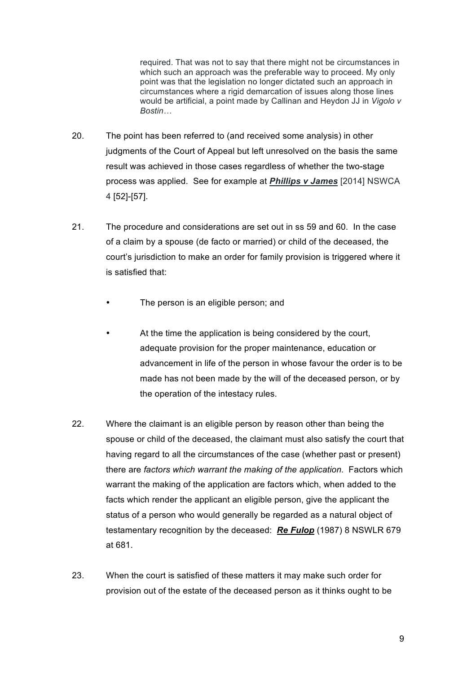required. That was not to say that there might not be circumstances in which such an approach was the preferable way to proceed. My only point was that the legislation no longer dictated such an approach in circumstances where a rigid demarcation of issues along those lines would be artificial, a point made by Callinan and Heydon JJ in *Vigolo v Bostin…*

- 20. The point has been referred to (and received some analysis) in other judgments of the Court of Appeal but left unresolved on the basis the same result was achieved in those cases regardless of whether the two-stage process was applied. See for example at *Phillips v James* [2014] NSWCA 4 [52]-[57].
- 21. The procedure and considerations are set out in ss 59 and 60. In the case of a claim by a spouse (de facto or married) or child of the deceased, the court's jurisdiction to make an order for family provision is triggered where it is satisfied that:
	- The person is an eligible person; and
	- At the time the application is being considered by the court, adequate provision for the proper maintenance, education or advancement in life of the person in whose favour the order is to be made has not been made by the will of the deceased person, or by the operation of the intestacy rules.
- 22. Where the claimant is an eligible person by reason other than being the spouse or child of the deceased, the claimant must also satisfy the court that having regard to all the circumstances of the case (whether past or present) there are *factors which warrant the making of the application.* Factors which warrant the making of the application are factors which, when added to the facts which render the applicant an eligible person, give the applicant the status of a person who would generally be regarded as a natural object of testamentary recognition by the deceased: *Re Fulop* (1987) 8 NSWLR 679 at 681.
- 23. When the court is satisfied of these matters it may make such order for provision out of the estate of the deceased person as it thinks ought to be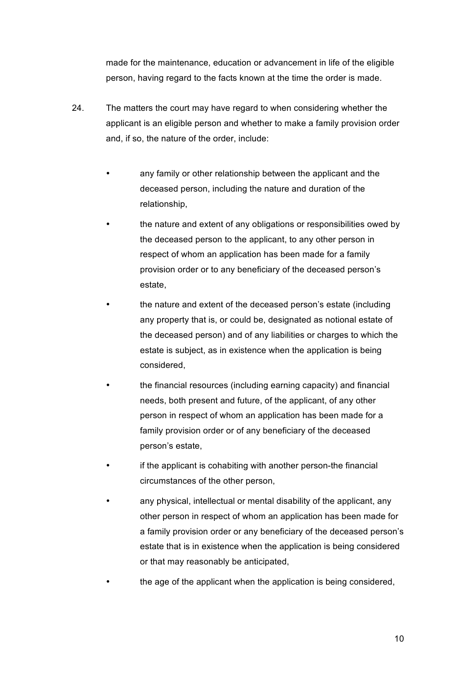made for the maintenance, education or advancement in life of the eligible person, having regard to the facts known at the time the order is made.

- 24. The matters the court may have regard to when considering whether the applicant is an eligible person and whether to make a family provision order and, if so, the nature of the order, include:
	- any family or other relationship between the applicant and the deceased person, including the nature and duration of the relationship,
	- the nature and extent of any obligations or responsibilities owed by the deceased person to the applicant, to any other person in respect of whom an application has been made for a family provision order or to any beneficiary of the deceased person's estate,
	- the nature and extent of the deceased person's estate (including any property that is, or could be, designated as notional estate of the deceased person) and of any liabilities or charges to which the estate is subject, as in existence when the application is being considered,
	- the financial resources (including earning capacity) and financial needs, both present and future, of the applicant, of any other person in respect of whom an application has been made for a family provision order or of any beneficiary of the deceased person's estate,
	- if the applicant is cohabiting with another person-the financial circumstances of the other person,
	- any physical, intellectual or mental disability of the applicant, any other person in respect of whom an application has been made for a family provision order or any beneficiary of the deceased person's estate that is in existence when the application is being considered or that may reasonably be anticipated,
	- the age of the applicant when the application is being considered,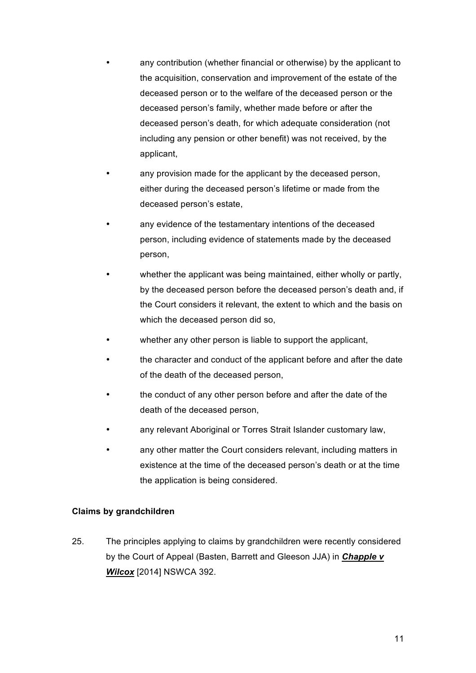- any contribution (whether financial or otherwise) by the applicant to the acquisition, conservation and improvement of the estate of the deceased person or to the welfare of the deceased person or the deceased person's family, whether made before or after the deceased person's death, for which adequate consideration (not including any pension or other benefit) was not received, by the applicant,
- any provision made for the applicant by the deceased person, either during the deceased person's lifetime or made from the deceased person's estate,
- any evidence of the testamentary intentions of the deceased person, including evidence of statements made by the deceased person,
- whether the applicant was being maintained, either wholly or partly, by the deceased person before the deceased person's death and, if the Court considers it relevant, the extent to which and the basis on which the deceased person did so,
- whether any other person is liable to support the applicant,
- the character and conduct of the applicant before and after the date of the death of the deceased person,
- the conduct of any other person before and after the date of the death of the deceased person,
- any relevant Aboriginal or Torres Strait Islander customary law,
- any other matter the Court considers relevant, including matters in existence at the time of the deceased person's death or at the time the application is being considered.

## **Claims by grandchildren**

25. The principles applying to claims by grandchildren were recently considered by the Court of Appeal (Basten, Barrett and Gleeson JJA) in *Chapple v Wilcox* [2014] NSWCA 392.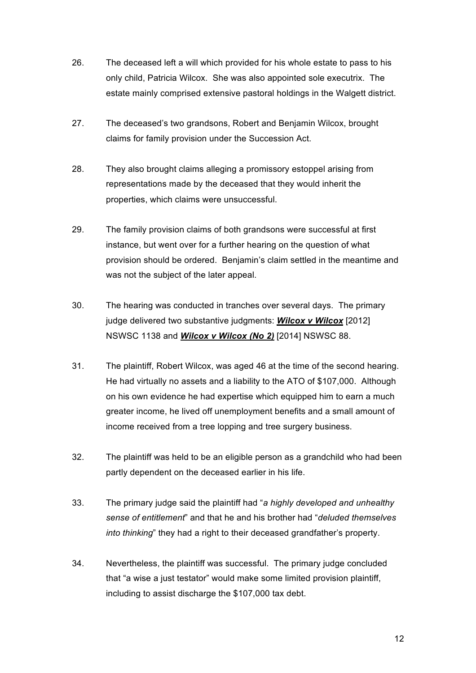- 26. The deceased left a will which provided for his whole estate to pass to his only child, Patricia Wilcox. She was also appointed sole executrix. The estate mainly comprised extensive pastoral holdings in the Walgett district.
- 27. The deceased's two grandsons, Robert and Benjamin Wilcox, brought claims for family provision under the Succession Act.
- 28. They also brought claims alleging a promissory estoppel arising from representations made by the deceased that they would inherit the properties, which claims were unsuccessful.
- 29. The family provision claims of both grandsons were successful at first instance, but went over for a further hearing on the question of what provision should be ordered. Benjamin's claim settled in the meantime and was not the subject of the later appeal.
- 30. The hearing was conducted in tranches over several days. The primary judge delivered two substantive judgments: *Wilcox v Wilcox* [2012] NSWSC 1138 and *Wilcox v Wilcox (No 2)* [2014] NSWSC 88.
- 31. The plaintiff, Robert Wilcox, was aged 46 at the time of the second hearing. He had virtually no assets and a liability to the ATO of \$107,000. Although on his own evidence he had expertise which equipped him to earn a much greater income, he lived off unemployment benefits and a small amount of income received from a tree lopping and tree surgery business.
- 32. The plaintiff was held to be an eligible person as a grandchild who had been partly dependent on the deceased earlier in his life.
- 33. The primary judge said the plaintiff had "*a highly developed and unhealthy sense of entitlement*" and that he and his brother had "*deluded themselves into thinking*" they had a right to their deceased grandfather's property.
- 34. Nevertheless, the plaintiff was successful. The primary judge concluded that "a wise a just testator" would make some limited provision plaintiff, including to assist discharge the \$107,000 tax debt.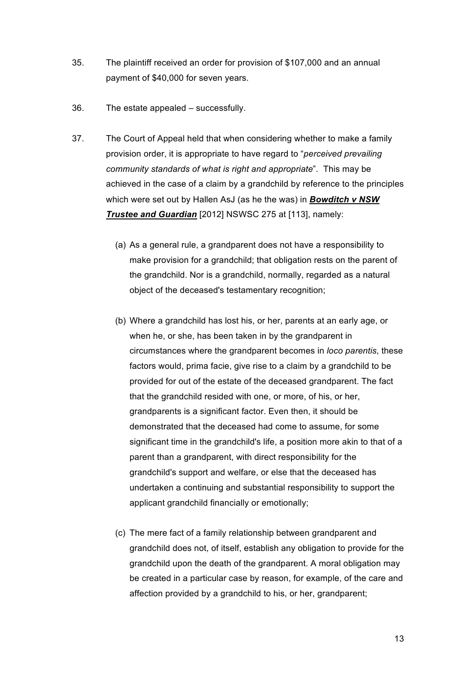- 35. The plaintiff received an order for provision of \$107,000 and an annual payment of \$40,000 for seven years.
- 36. The estate appealed successfully.
- 37. The Court of Appeal held that when considering whether to make a family provision order, it is appropriate to have regard to "*perceived prevailing community standards of what is right and appropriate*". This may be achieved in the case of a claim by a grandchild by reference to the principles which were set out by Hallen AsJ (as he the was) in *Bowditch v NSW Trustee and Guardian* [2012] NSWSC 275 at [113], namely:
	- (a) As a general rule, a grandparent does not have a responsibility to make provision for a grandchild; that obligation rests on the parent of the grandchild. Nor is a grandchild, normally, regarded as a natural object of the deceased's testamentary recognition;
	- (b) Where a grandchild has lost his, or her, parents at an early age, or when he, or she, has been taken in by the grandparent in circumstances where the grandparent becomes in *loco parentis*, these factors would, prima facie, give rise to a claim by a grandchild to be provided for out of the estate of the deceased grandparent. The fact that the grandchild resided with one, or more, of his, or her, grandparents is a significant factor. Even then, it should be demonstrated that the deceased had come to assume, for some significant time in the grandchild's life, a position more akin to that of a parent than a grandparent, with direct responsibility for the grandchild's support and welfare, or else that the deceased has undertaken a continuing and substantial responsibility to support the applicant grandchild financially or emotionally;
	- (c) The mere fact of a family relationship between grandparent and grandchild does not, of itself, establish any obligation to provide for the grandchild upon the death of the grandparent. A moral obligation may be created in a particular case by reason, for example, of the care and affection provided by a grandchild to his, or her, grandparent;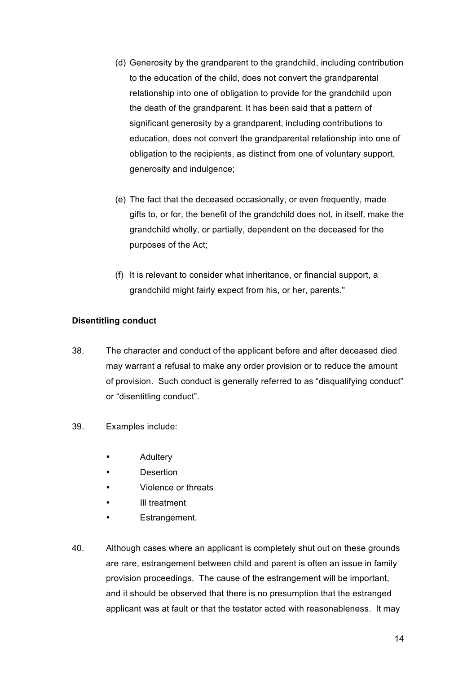- (d) Generosity by the grandparent to the grandchild, including contribution to the education of the child, does not convert the grandparental relationship into one of obligation to provide for the grandchild upon the death of the grandparent. It has been said that a pattern of significant generosity by a grandparent, including contributions to education, does not convert the grandparental relationship into one of obligation to the recipients, as distinct from one of voluntary support, generosity and indulgence;
- (e) The fact that the deceased occasionally, or even frequently, made gifts to, or for, the benefit of the grandchild does not, in itself, make the grandchild wholly, or partially, dependent on the deceased for the purposes of the Act;
- (f) It is relevant to consider what inheritance, or financial support, a grandchild might fairly expect from his, or her, parents."

## **Disentitling conduct**

- 38. The character and conduct of the applicant before and after deceased died may warrant a refusal to make any order provision or to reduce the amount of provision. Such conduct is generally referred to as "disqualifying conduct" or "disentitling conduct".
- 39. Examples include:
	- **Adultery**
	- Desertion
	- Violence or threats
	- III treatment
	- Estrangement.
- 40. Although cases where an applicant is completely shut out on these grounds are rare, estrangement between child and parent is often an issue in family provision proceedings. The cause of the estrangement will be important, and it should be observed that there is no presumption that the estranged applicant was at fault or that the testator acted with reasonableness. It may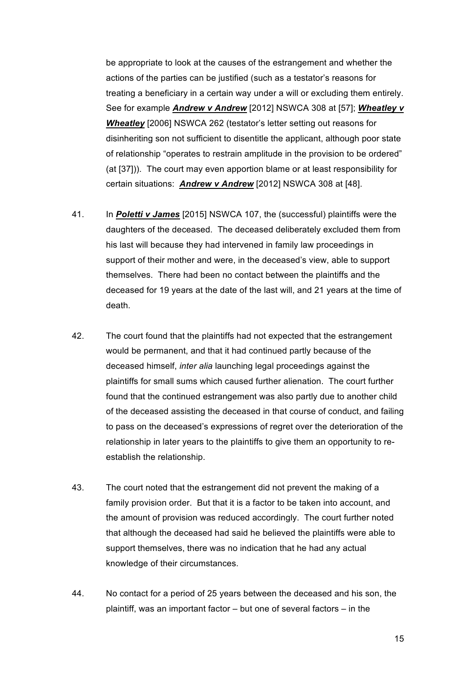be appropriate to look at the causes of the estrangement and whether the actions of the parties can be justified (such as a testator's reasons for treating a beneficiary in a certain way under a will or excluding them entirely. See for example *Andrew v Andrew* [2012] NSWCA 308 at [57]; *Wheatley v Wheatley* [2006] NSWCA 262 (testator's letter setting out reasons for disinheriting son not sufficient to disentitle the applicant, although poor state of relationship "operates to restrain amplitude in the provision to be ordered" (at [37])). The court may even apportion blame or at least responsibility for certain situations: *Andrew v Andrew* [2012] NSWCA 308 at [48].

- 41. In *Poletti v James* [2015] NSWCA 107, the (successful) plaintiffs were the daughters of the deceased. The deceased deliberately excluded them from his last will because they had intervened in family law proceedings in support of their mother and were, in the deceased's view, able to support themselves. There had been no contact between the plaintiffs and the deceased for 19 years at the date of the last will, and 21 years at the time of death.
- 42. The court found that the plaintiffs had not expected that the estrangement would be permanent, and that it had continued partly because of the deceased himself, *inter alia* launching legal proceedings against the plaintiffs for small sums which caused further alienation. The court further found that the continued estrangement was also partly due to another child of the deceased assisting the deceased in that course of conduct, and failing to pass on the deceased's expressions of regret over the deterioration of the relationship in later years to the plaintiffs to give them an opportunity to reestablish the relationship.
- 43. The court noted that the estrangement did not prevent the making of a family provision order. But that it is a factor to be taken into account, and the amount of provision was reduced accordingly. The court further noted that although the deceased had said he believed the plaintiffs were able to support themselves, there was no indication that he had any actual knowledge of their circumstances.
- 44. No contact for a period of 25 years between the deceased and his son, the plaintiff, was an important factor – but one of several factors – in the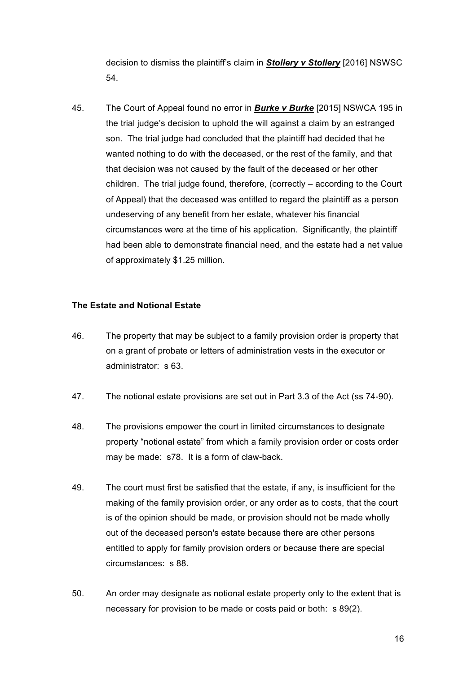decision to dismiss the plaintiff's claim in *Stollery v Stollery* [2016] NSWSC 54.

45. The Court of Appeal found no error in *Burke v Burke* [2015] NSWCA 195 in the trial judge's decision to uphold the will against a claim by an estranged son. The trial judge had concluded that the plaintiff had decided that he wanted nothing to do with the deceased, or the rest of the family, and that that decision was not caused by the fault of the deceased or her other children. The trial judge found, therefore, (correctly – according to the Court of Appeal) that the deceased was entitled to regard the plaintiff as a person undeserving of any benefit from her estate, whatever his financial circumstances were at the time of his application. Significantly, the plaintiff had been able to demonstrate financial need, and the estate had a net value of approximately \$1.25 million.

#### **The Estate and Notional Estate**

- 46. The property that may be subject to a family provision order is property that on a grant of probate or letters of administration vests in the executor or administrator: s 63.
- 47. The notional estate provisions are set out in Part 3.3 of the Act (ss 74-90).
- 48. The provisions empower the court in limited circumstances to designate property "notional estate" from which a family provision order or costs order may be made: s78. It is a form of claw-back.
- 49. The court must first be satisfied that the estate, if any, is insufficient for the making of the family provision order, or any order as to costs, that the court is of the opinion should be made, or provision should not be made wholly out of the deceased person's estate because there are other persons entitled to apply for family provision orders or because there are special circumstances: s 88.
- 50. An order may designate as notional estate property only to the extent that is necessary for provision to be made or costs paid or both: s 89(2).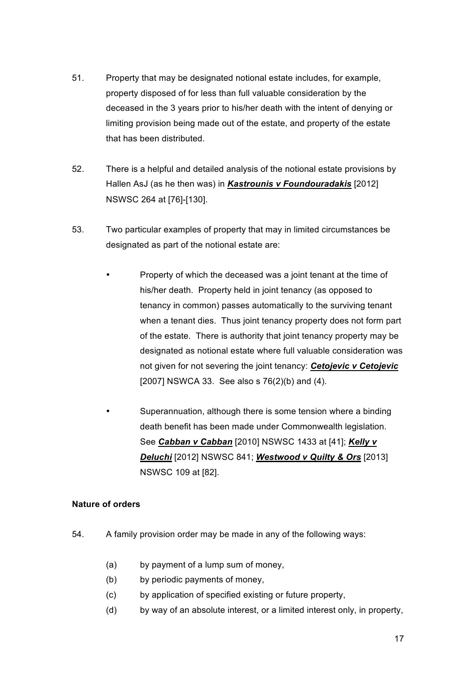- 51. Property that may be designated notional estate includes, for example, property disposed of for less than full valuable consideration by the deceased in the 3 years prior to his/her death with the intent of denying or limiting provision being made out of the estate, and property of the estate that has been distributed.
- 52. There is a helpful and detailed analysis of the notional estate provisions by Hallen AsJ (as he then was) in *Kastrounis v Foundouradakis* [2012] NSWSC 264 at [76]-[130].
- 53. Two particular examples of property that may in limited circumstances be designated as part of the notional estate are:
	- Property of which the deceased was a joint tenant at the time of his/her death. Property held in joint tenancy (as opposed to tenancy in common) passes automatically to the surviving tenant when a tenant dies. Thus joint tenancy property does not form part of the estate.There is authority that joint tenancy property may be designated as notional estate where full valuable consideration was not given for not severing the joint tenancy: *Cetojevic v Cetojevic* [2007] NSWCA 33. See also s 76(2)(b) and (4).
	- Superannuation, although there is some tension where a binding death benefit has been made under Commonwealth legislation. See *Cabban v Cabban* [2010] NSWSC 1433 at [41]; *Kelly v Deluchi* [2012] NSWSC 841; *Westwood v Quilty & Ors* [2013] NSWSC 109 at [82].

## **Nature of orders**

- 54. A family provision order may be made in any of the following ways:
	- (a) by payment of a lump sum of money,
	- (b) by periodic payments of money,
	- (c) by application of specified existing or future property,
	- (d) by way of an absolute interest, or a limited interest only, in property,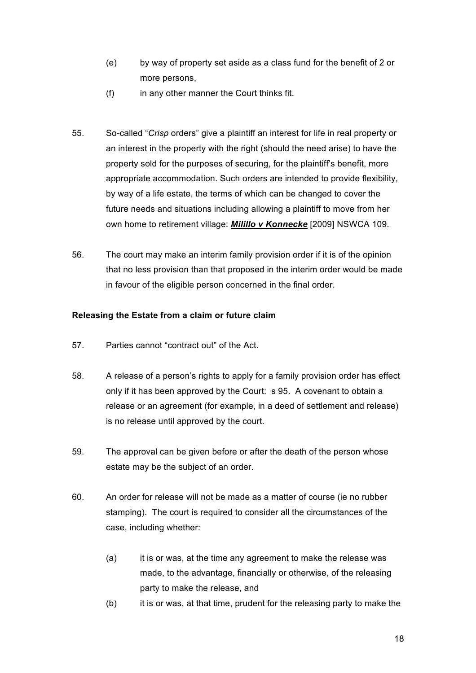- (e) by way of property set aside as a class fund for the benefit of 2 or more persons,
- (f) in any other manner the Court thinks fit.
- 55. So-called "*Crisp* orders" give a plaintiff an interest for life in real property or an interest in the property with the right (should the need arise) to have the property sold for the purposes of securing, for the plaintiff's benefit, more appropriate accommodation. Such orders are intended to provide flexibility, by way of a life estate, the terms of which can be changed to cover the future needs and situations including allowing a plaintiff to move from her own home to retirement village: *Milillo v Konnecke* [2009] NSWCA 109.
- 56. The court may make an interim family provision order if it is of the opinion that no less provision than that proposed in the interim order would be made in favour of the eligible person concerned in the final order.

#### **Releasing the Estate from a claim or future claim**

- 57. Parties cannot "contract out" of the Act.
- 58. A release of a person's rights to apply for a family provision order has effect only if it has been approved by the Court: s 95. A covenant to obtain a release or an agreement (for example, in a deed of settlement and release) is no release until approved by the court.
- 59. The approval can be given before or after the death of the person whose estate may be the subject of an order.
- 60. An order for release will not be made as a matter of course (ie no rubber stamping). The court is required to consider all the circumstances of the case, including whether:
	- (a) it is or was, at the time any agreement to make the release was made, to the advantage, financially or otherwise, of the releasing party to make the release, and
	- (b) it is or was, at that time, prudent for the releasing party to make the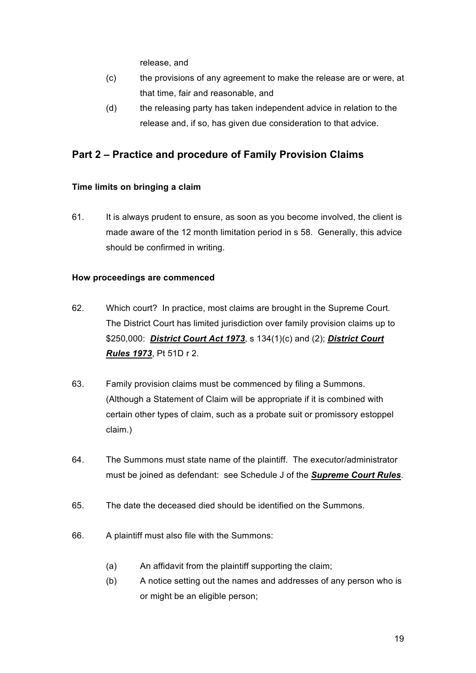release, and

- (c) the provisions of any agreement to make the release are or were, at that time, fair and reasonable, and
- (d) the releasing party has taken independent advice in relation to the release and, if so, has given due consideration to that advice.

## **Part 2 – Practice and procedure of Family Provision Claims**

## **Time limits on bringing a claim**

61. It is always prudent to ensure, as soon as you become involved, the client is made aware of the 12 month limitation period in s 58. Generally, this advice should be confirmed in writing.

## **How proceedings are commenced**

- 62. Which court? In practice, most claims are brought in the Supreme Court. The District Court has limited jurisdiction over family provision claims up to \$250,000: *District Court Act 1973*, s 134(1)(c) and (2); *District Court Rules 1973*, Pt 51D r 2.
- 63. Family provision claims must be commenced by filing a Summons. (Although a Statement of Claim will be appropriate if it is combined with certain other types of claim, such as a probate suit or promissory estoppel claim.)
- 64. The Summons must state name of the plaintiff. The executor/administrator must be joined as defendant: see Schedule J of the *Supreme Court Rules*.
- 65. The date the deceased died should be identified on the Summons.
- 66. A plaintiff must also file with the Summons:
	- (a) An affidavit from the plaintiff supporting the claim;
	- (b) A notice setting out the names and addresses of any person who is or might be an eligible person;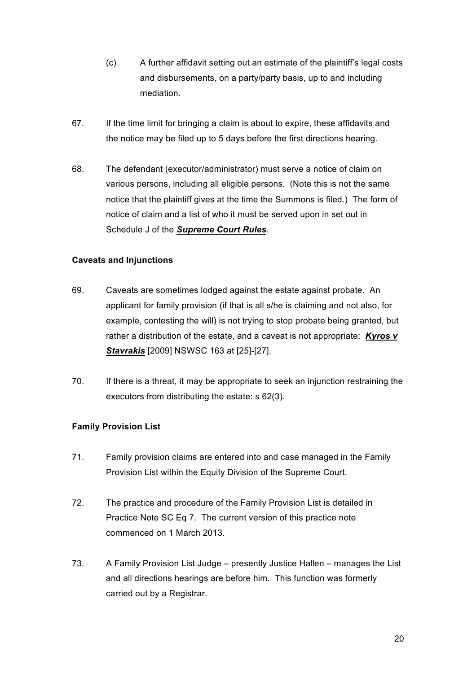- (c) A further affidavit setting out an estimate of the plaintiff's legal costs and disbursements, on a party/party basis, up to and including mediation.
- 67. If the time limit for bringing a claim is about to expire, these affidavits and the notice may be filed up to 5 days before the first directions hearing.
- 68. The defendant (executor/administrator) must serve a notice of claim on various persons, including all eligible persons. (Note this is not the same notice that the plaintiff gives at the time the Summons is filed.) The form of notice of claim and a list of who it must be served upon in set out in Schedule J of the *Supreme Court Rules*.

## **Caveats and Injunctions**

- 69. Caveats are sometimes lodged against the estate against probate. An applicant for family provision (if that is all s/he is claiming and not also, for example, contesting the will) is not trying to stop probate being granted, but rather a distribution of the estate, and a caveat is not appropriate: *Kyros v Stavrakis* [2009] NSWSC 163 at [25]-[27].
- 70. If there is a threat, it may be appropriate to seek an injunction restraining the executors from distributing the estate: s 62(3).

## **Family Provision List**

- 71. Family provision claims are entered into and case managed in the Family Provision List within the Equity Division of the Supreme Court.
- 72. The practice and procedure of the Family Provision List is detailed in Practice Note SC Eq 7. The current version of this practice note commenced on 1 March 2013.
- 73. A Family Provision List Judge presently Justice Hallen manages the List and all directions hearings are before him. This function was formerly carried out by a Registrar.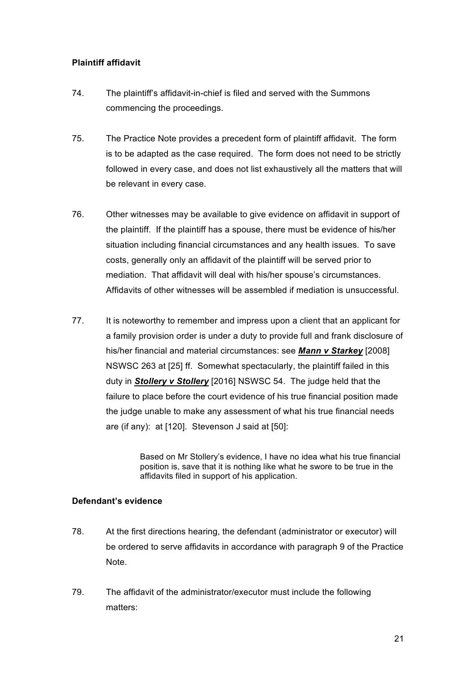#### **Plaintiff affidavit**

- 74. The plaintiff's affidavit-in-chief is filed and served with the Summons commencing the proceedings.
- 75. The Practice Note provides a precedent form of plaintiff affidavit. The form is to be adapted as the case required. The form does not need to be strictly followed in every case, and does not list exhaustively all the matters that will be relevant in every case.
- 76. Other witnesses may be available to give evidence on affidavit in support of the plaintiff. If the plaintiff has a spouse, there must be evidence of his/her situation including financial circumstances and any health issues. To save costs, generally only an affidavit of the plaintiff will be served prior to mediation. That affidavit will deal with his/her spouse's circumstances. Affidavits of other witnesses will be assembled if mediation is unsuccessful.
- 77. It is noteworthy to remember and impress upon a client that an applicant for a family provision order is under a duty to provide full and frank disclosure of his/her financial and material circumstances: see *Mann v Starkey* [2008] NSWSC 263 at [25] ff. Somewhat spectacularly, the plaintiff failed in this duty in *Stollery v Stollery* [2016] NSWSC 54. The judge held that the failure to place before the court evidence of his true financial position made the judge unable to make any assessment of what his true financial needs are (if any): at [120]. Stevenson J said at [50]:

Based on Mr Stollery's evidence, I have no idea what his true financial position is, save that it is nothing like what he swore to be true in the affidavits filed in support of his application.

#### **Defendant's evidence**

- 78. At the first directions hearing, the defendant (administrator or executor) will be ordered to serve affidavits in accordance with paragraph 9 of the Practice Note.
- 79. The affidavit of the administrator/executor must include the following matters: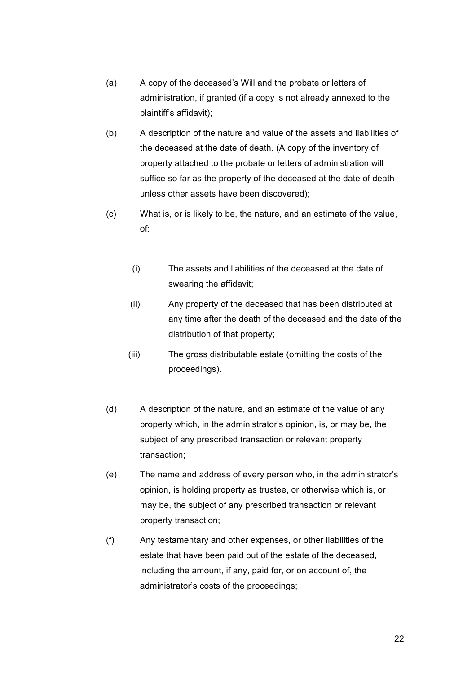- (a) A copy of the deceased's Will and the probate or letters of administration, if granted (if a copy is not already annexed to the plaintiff's affidavit);
- (b) A description of the nature and value of the assets and liabilities of the deceased at the date of death. (A copy of the inventory of property attached to the probate or letters of administration will suffice so far as the property of the deceased at the date of death unless other assets have been discovered);
- (c) What is, or is likely to be, the nature, and an estimate of the value, of:
	- (i) The assets and liabilities of the deceased at the date of swearing the affidavit;
	- (ii) Any property of the deceased that has been distributed at any time after the death of the deceased and the date of the distribution of that property;
	- (iii) The gross distributable estate (omitting the costs of the proceedings).
- (d) A description of the nature, and an estimate of the value of any property which, in the administrator's opinion, is, or may be, the subject of any prescribed transaction or relevant property transaction;
- (e) The name and address of every person who, in the administrator's opinion, is holding property as trustee, or otherwise which is, or may be, the subject of any prescribed transaction or relevant property transaction;
- (f) Any testamentary and other expenses, or other liabilities of the estate that have been paid out of the estate of the deceased, including the amount, if any, paid for, or on account of, the administrator's costs of the proceedings;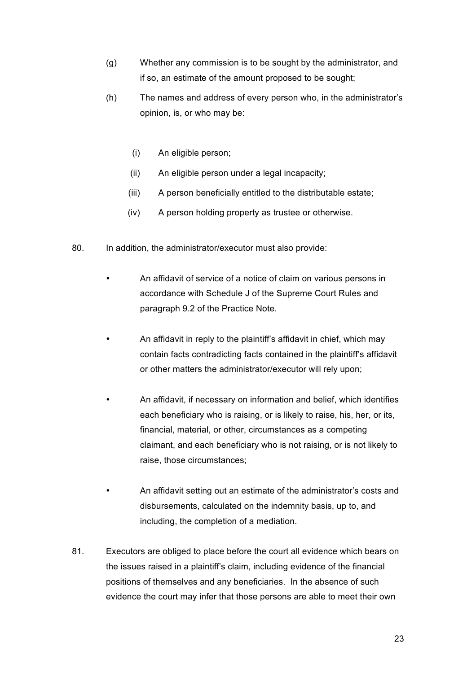- (g) Whether any commission is to be sought by the administrator, and if so, an estimate of the amount proposed to be sought;
- (h) The names and address of every person who, in the administrator's opinion, is, or who may be:
	- (i) An eligible person;
	- (ii) An eligible person under a legal incapacity;
	- (iii) A person beneficially entitled to the distributable estate;
	- (iv) A person holding property as trustee or otherwise.
- 80. In addition, the administrator/executor must also provide:
	- An affidavit of service of a notice of claim on various persons in accordance with Schedule J of the Supreme Court Rules and paragraph 9.2 of the Practice Note.
	- An affidavit in reply to the plaintiff's affidavit in chief, which may contain facts contradicting facts contained in the plaintiff's affidavit or other matters the administrator/executor will rely upon;
	- An affidavit, if necessary on information and belief, which identifies each beneficiary who is raising, or is likely to raise, his, her, or its, financial, material, or other, circumstances as a competing claimant, and each beneficiary who is not raising, or is not likely to raise, those circumstances;
	- An affidavit setting out an estimate of the administrator's costs and disbursements, calculated on the indemnity basis, up to, and including, the completion of a mediation.
- 81. Executors are obliged to place before the court all evidence which bears on the issues raised in a plaintiff's claim, including evidence of the financial positions of themselves and any beneficiaries. In the absence of such evidence the court may infer that those persons are able to meet their own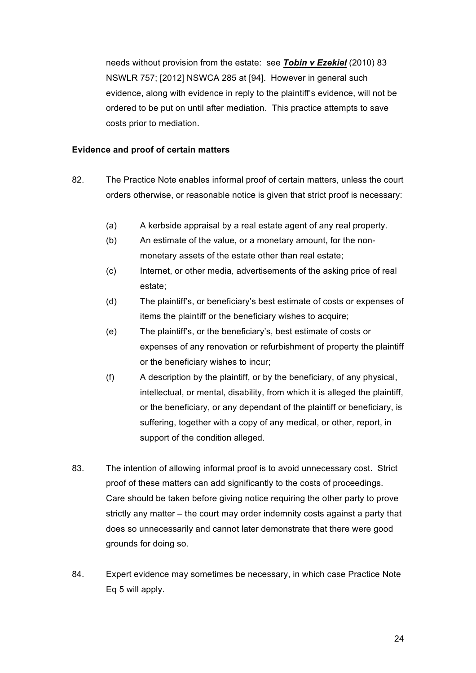needs without provision from the estate: see *Tobin v Ezekiel* (2010) 83 NSWLR 757; [2012] NSWCA 285 at [94]. However in general such evidence, along with evidence in reply to the plaintiff's evidence, will not be ordered to be put on until after mediation. This practice attempts to save costs prior to mediation.

#### **Evidence and proof of certain matters**

- 82. The Practice Note enables informal proof of certain matters, unless the court orders otherwise, or reasonable notice is given that strict proof is necessary:
	- (a) A kerbside appraisal by a real estate agent of any real property.
	- (b) An estimate of the value, or a monetary amount, for the nonmonetary assets of the estate other than real estate;
	- (c) Internet, or other media, advertisements of the asking price of real estate;
	- (d) The plaintiff's, or beneficiary's best estimate of costs or expenses of items the plaintiff or the beneficiary wishes to acquire;
	- (e) The plaintiff's, or the beneficiary's, best estimate of costs or expenses of any renovation or refurbishment of property the plaintiff or the beneficiary wishes to incur;
	- (f) A description by the plaintiff, or by the beneficiary, of any physical, intellectual, or mental, disability, from which it is alleged the plaintiff, or the beneficiary, or any dependant of the plaintiff or beneficiary, is suffering, together with a copy of any medical, or other, report, in support of the condition alleged.
- 83. The intention of allowing informal proof is to avoid unnecessary cost. Strict proof of these matters can add significantly to the costs of proceedings. Care should be taken before giving notice requiring the other party to prove strictly any matter – the court may order indemnity costs against a party that does so unnecessarily and cannot later demonstrate that there were good grounds for doing so.
- 84. Expert evidence may sometimes be necessary, in which case Practice Note Eq 5 will apply.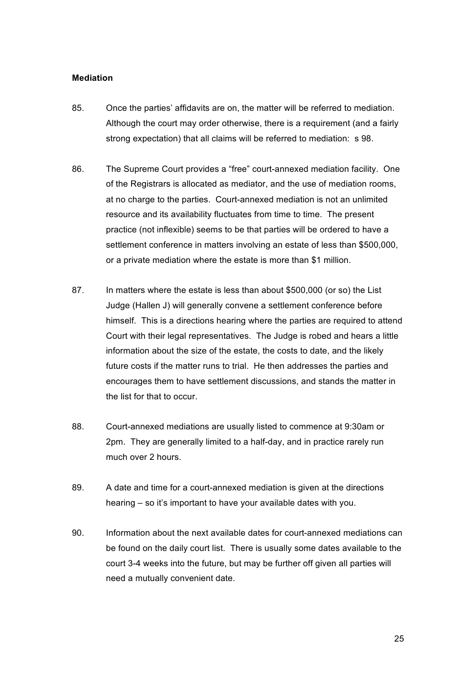#### **Mediation**

- 85. Once the parties' affidavits are on, the matter will be referred to mediation. Although the court may order otherwise, there is a requirement (and a fairly strong expectation) that all claims will be referred to mediation: s 98.
- 86. The Supreme Court provides a "free" court-annexed mediation facility. One of the Registrars is allocated as mediator, and the use of mediation rooms, at no charge to the parties. Court-annexed mediation is not an unlimited resource and its availability fluctuates from time to time. The present practice (not inflexible) seems to be that parties will be ordered to have a settlement conference in matters involving an estate of less than \$500,000, or a private mediation where the estate is more than \$1 million.
- 87. In matters where the estate is less than about \$500,000 (or so) the List Judge (Hallen J) will generally convene a settlement conference before himself. This is a directions hearing where the parties are required to attend Court with their legal representatives. The Judge is robed and hears a little information about the size of the estate, the costs to date, and the likely future costs if the matter runs to trial. He then addresses the parties and encourages them to have settlement discussions, and stands the matter in the list for that to occur.
- 88. Court-annexed mediations are usually listed to commence at 9:30am or 2pm. They are generally limited to a half-day, and in practice rarely run much over 2 hours.
- 89. A date and time for a court-annexed mediation is given at the directions hearing – so it's important to have your available dates with you.
- 90. Information about the next available dates for court-annexed mediations can be found on the daily court list. There is usually some dates available to the court 3-4 weeks into the future, but may be further off given all parties will need a mutually convenient date.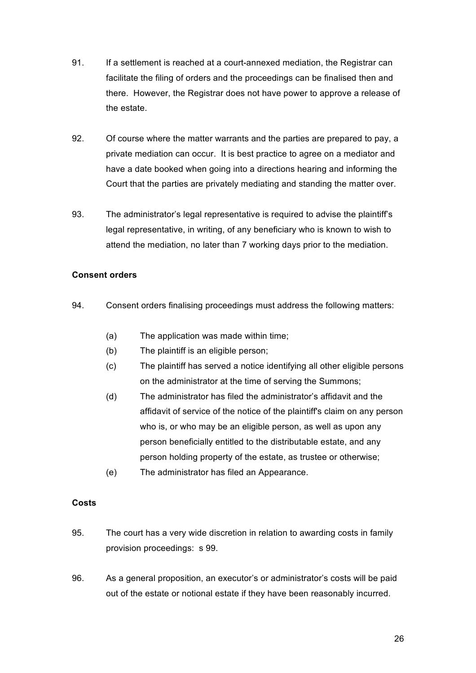- 91. If a settlement is reached at a court-annexed mediation, the Registrar can facilitate the filing of orders and the proceedings can be finalised then and there. However, the Registrar does not have power to approve a release of the estate.
- 92. Of course where the matter warrants and the parties are prepared to pay, a private mediation can occur. It is best practice to agree on a mediator and have a date booked when going into a directions hearing and informing the Court that the parties are privately mediating and standing the matter over.
- 93. The administrator's legal representative is required to advise the plaintiff's legal representative, in writing, of any beneficiary who is known to wish to attend the mediation, no later than 7 working days prior to the mediation.

## **Consent orders**

- 94. Consent orders finalising proceedings must address the following matters:
	- (a) The application was made within time;
	- (b) The plaintiff is an eligible person;
	- (c) The plaintiff has served a notice identifying all other eligible persons on the administrator at the time of serving the Summons;
	- (d) The administrator has filed the administrator's affidavit and the affidavit of service of the notice of the plaintiff's claim on any person who is, or who may be an eligible person, as well as upon any person beneficially entitled to the distributable estate, and any person holding property of the estate, as trustee or otherwise;
	- (e) The administrator has filed an Appearance.

#### **Costs**

- 95. The court has a very wide discretion in relation to awarding costs in family provision proceedings: s 99.
- 96. As a general proposition, an executor's or administrator's costs will be paid out of the estate or notional estate if they have been reasonably incurred.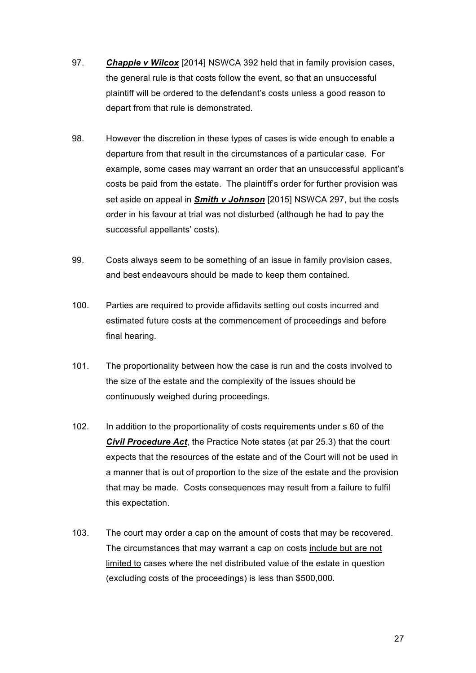- 97. *Chapple v Wilcox* [2014] NSWCA 392 held that in family provision cases, the general rule is that costs follow the event, so that an unsuccessful plaintiff will be ordered to the defendant's costs unless a good reason to depart from that rule is demonstrated.
- 98. However the discretion in these types of cases is wide enough to enable a departure from that result in the circumstances of a particular case. For example, some cases may warrant an order that an unsuccessful applicant's costs be paid from the estate. The plaintiff's order for further provision was set aside on appeal in *Smith v Johnson* [2015] NSWCA 297, but the costs order in his favour at trial was not disturbed (although he had to pay the successful appellants' costs).
- 99. Costs always seem to be something of an issue in family provision cases, and best endeavours should be made to keep them contained.
- 100. Parties are required to provide affidavits setting out costs incurred and estimated future costs at the commencement of proceedings and before final hearing.
- 101. The proportionality between how the case is run and the costs involved to the size of the estate and the complexity of the issues should be continuously weighed during proceedings.
- 102. In addition to the proportionality of costs requirements under s 60 of the *Civil Procedure Act*, the Practice Note states (at par 25.3) that the court expects that the resources of the estate and of the Court will not be used in a manner that is out of proportion to the size of the estate and the provision that may be made. Costs consequences may result from a failure to fulfil this expectation.
- 103. The court may order a cap on the amount of costs that may be recovered. The circumstances that may warrant a cap on costs include but are not limited to cases where the net distributed value of the estate in question (excluding costs of the proceedings) is less than \$500,000.